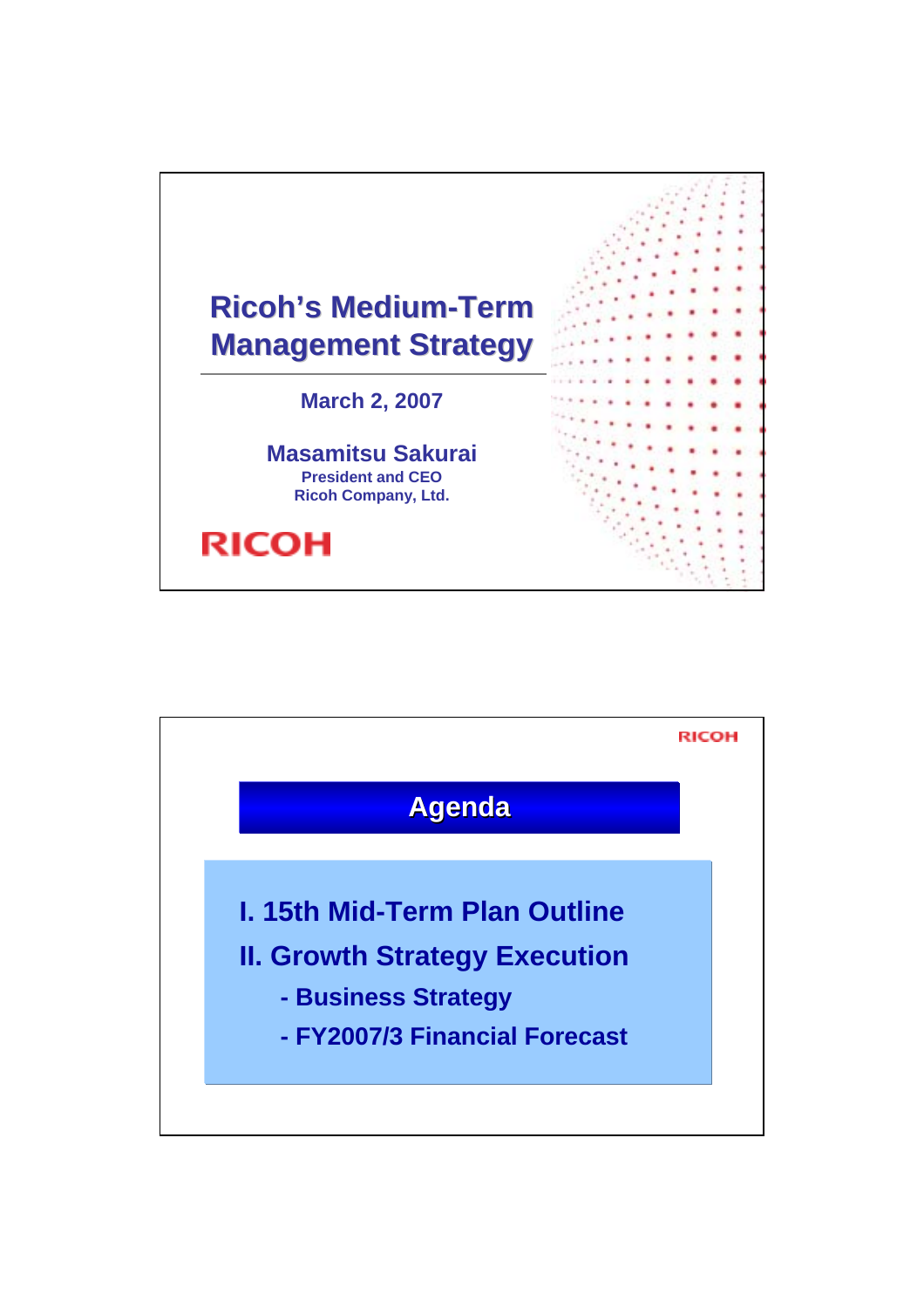

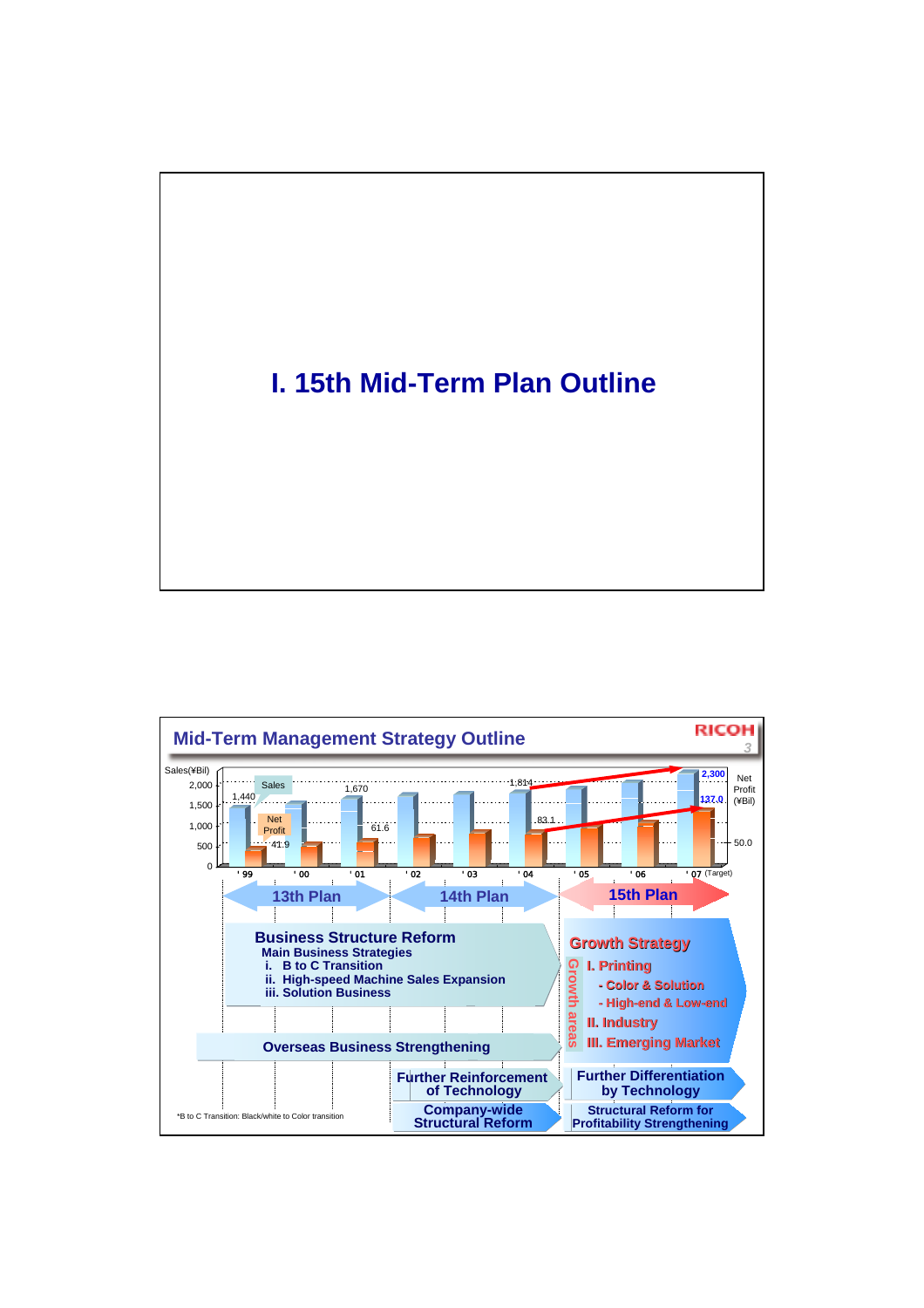# **I. 15th Mid-Term Plan Outline**

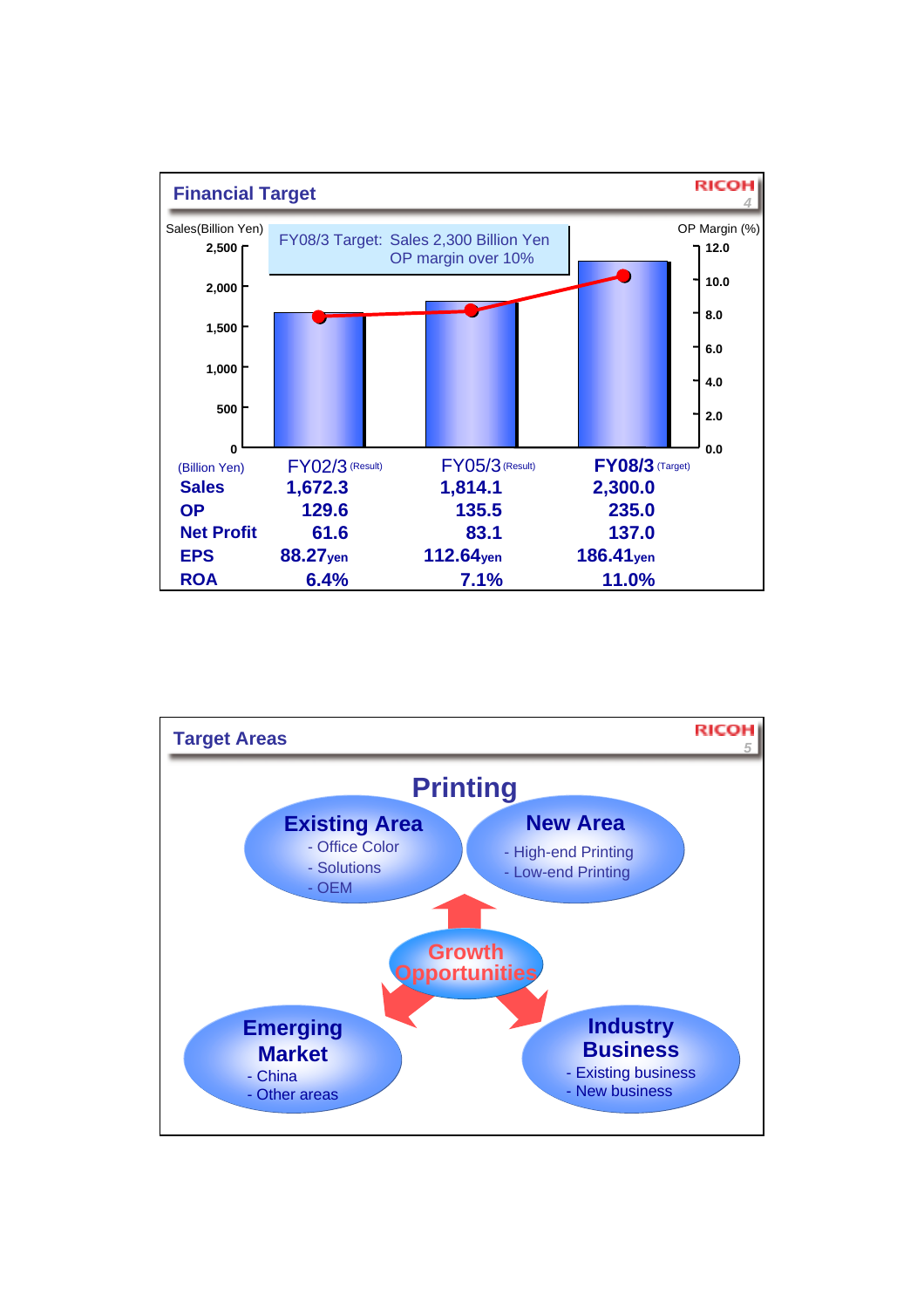

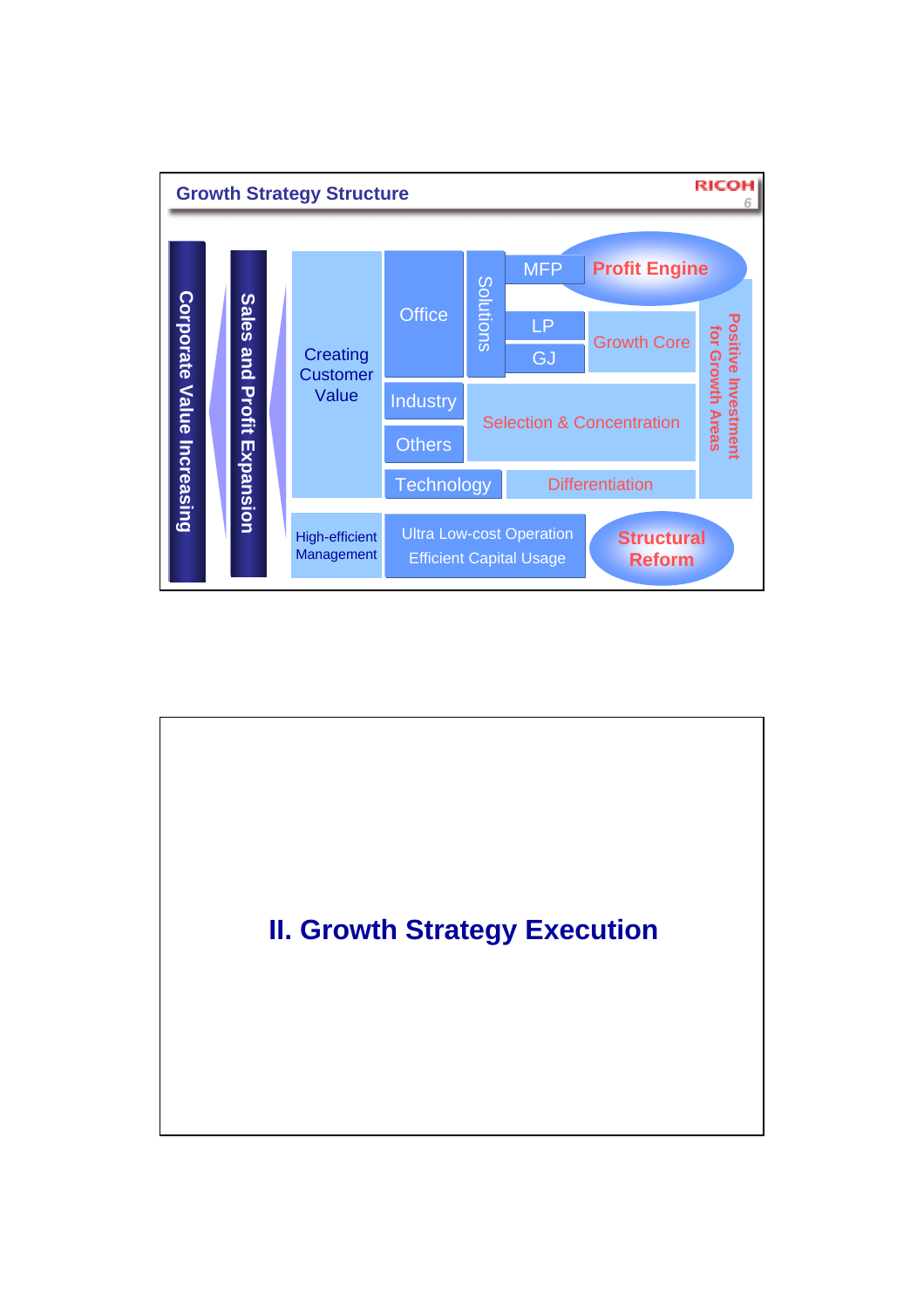

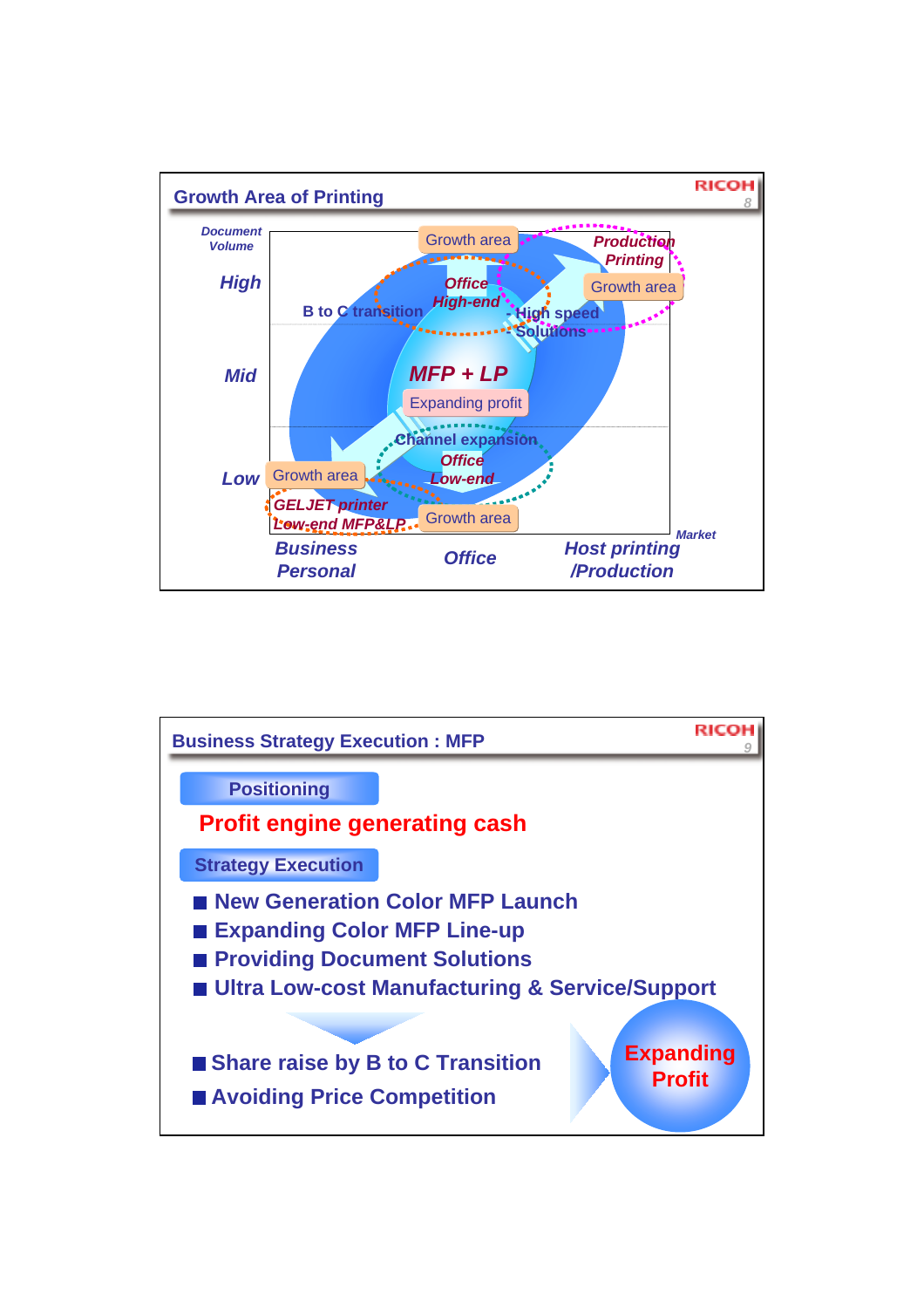

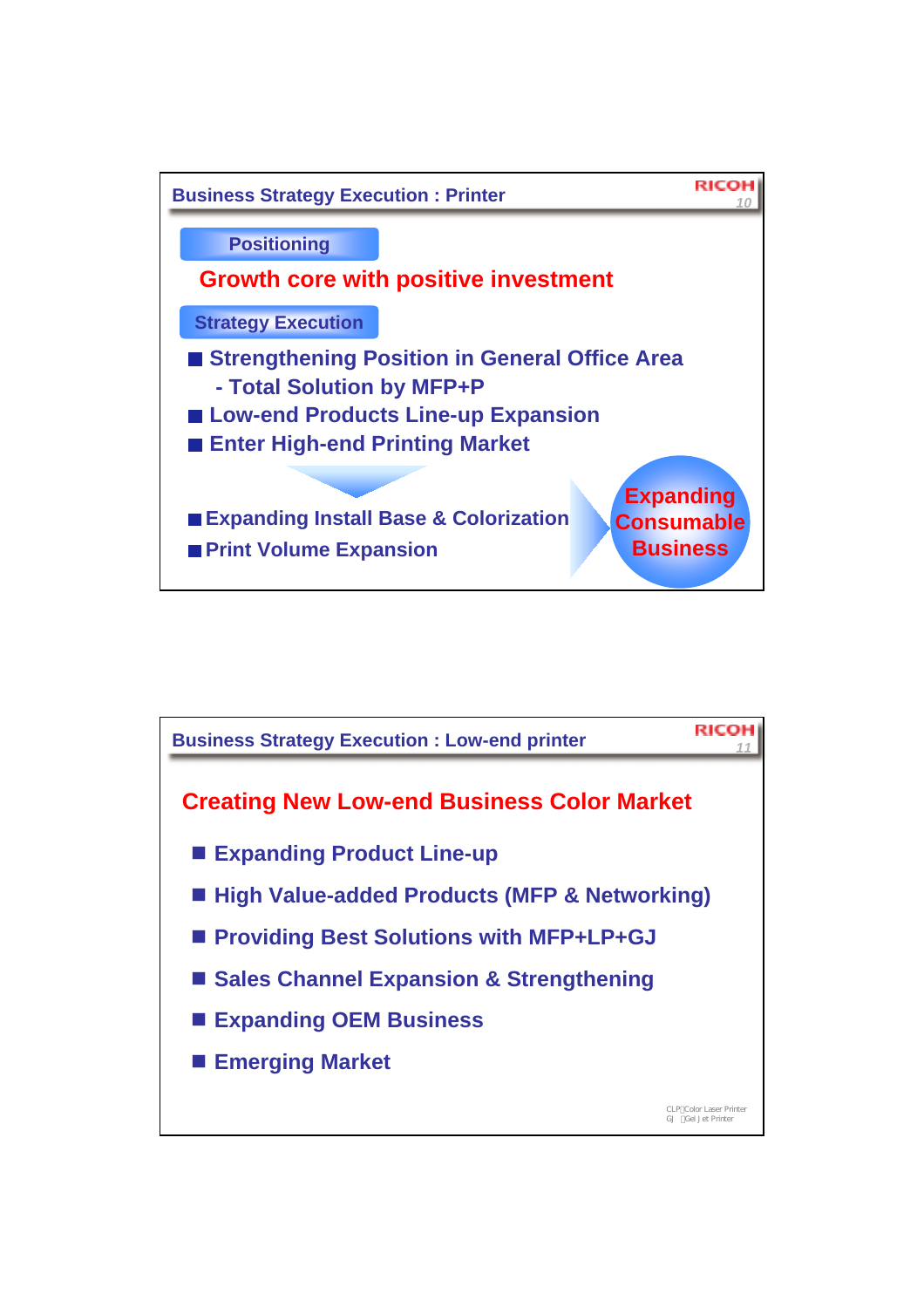

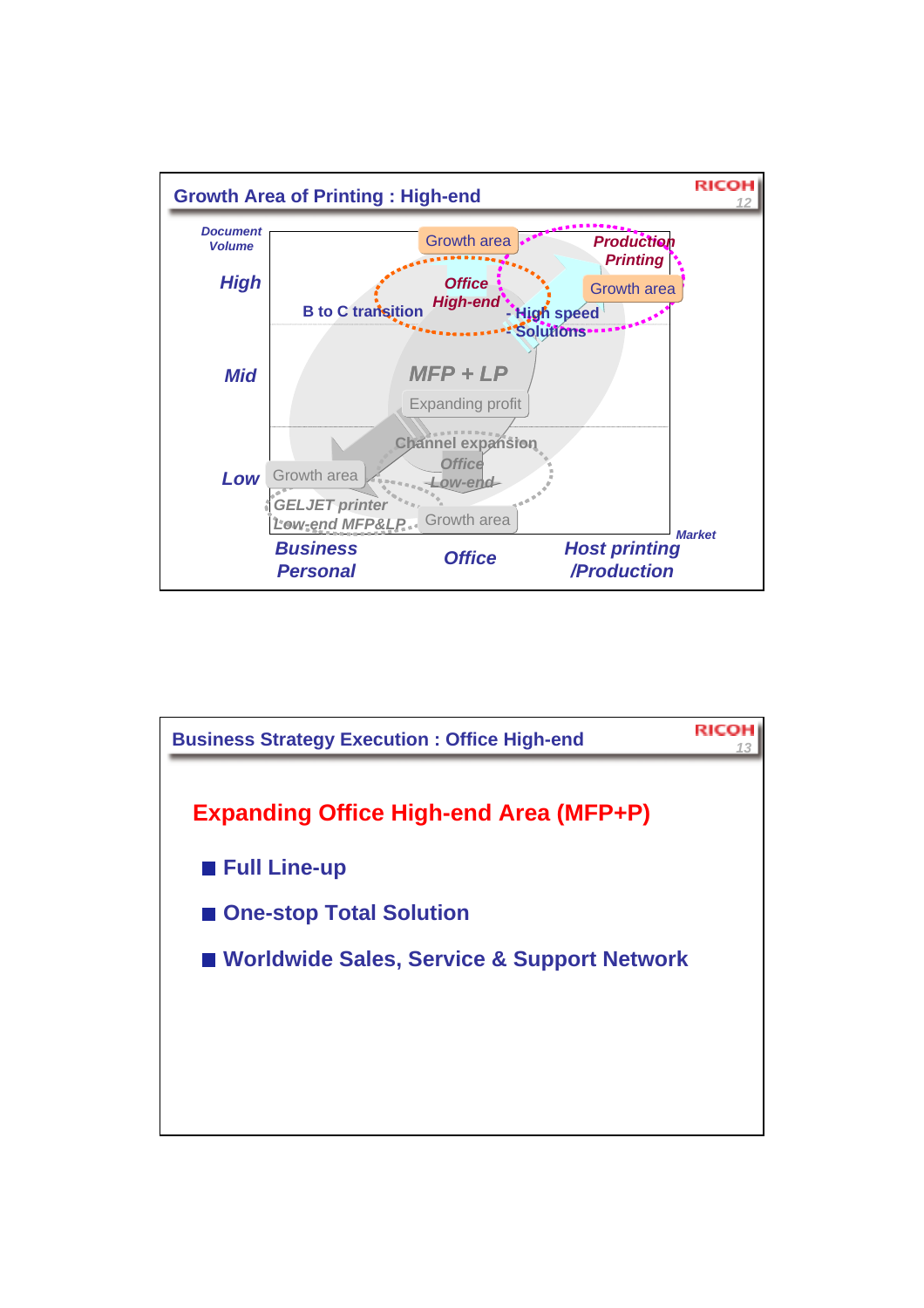

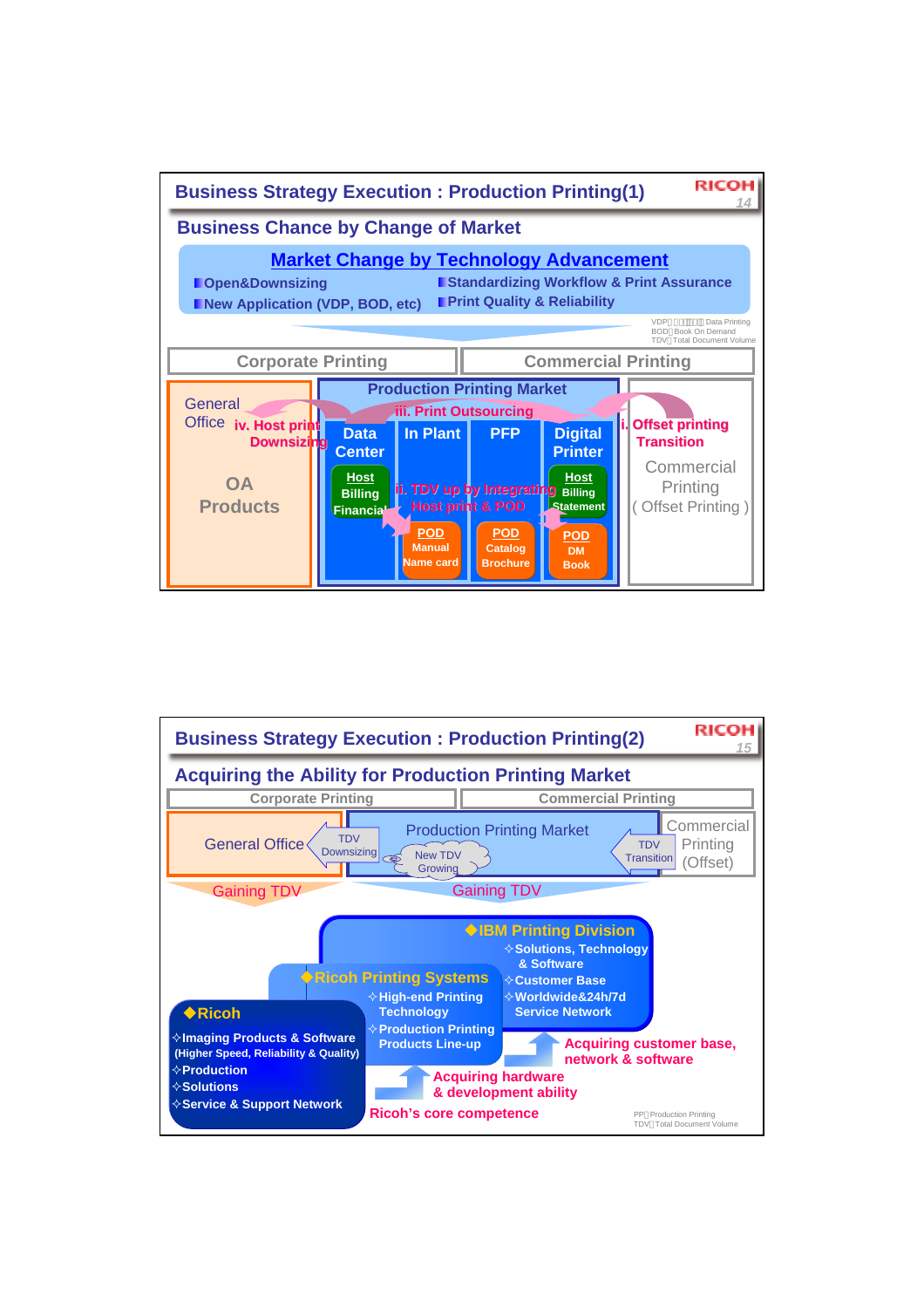

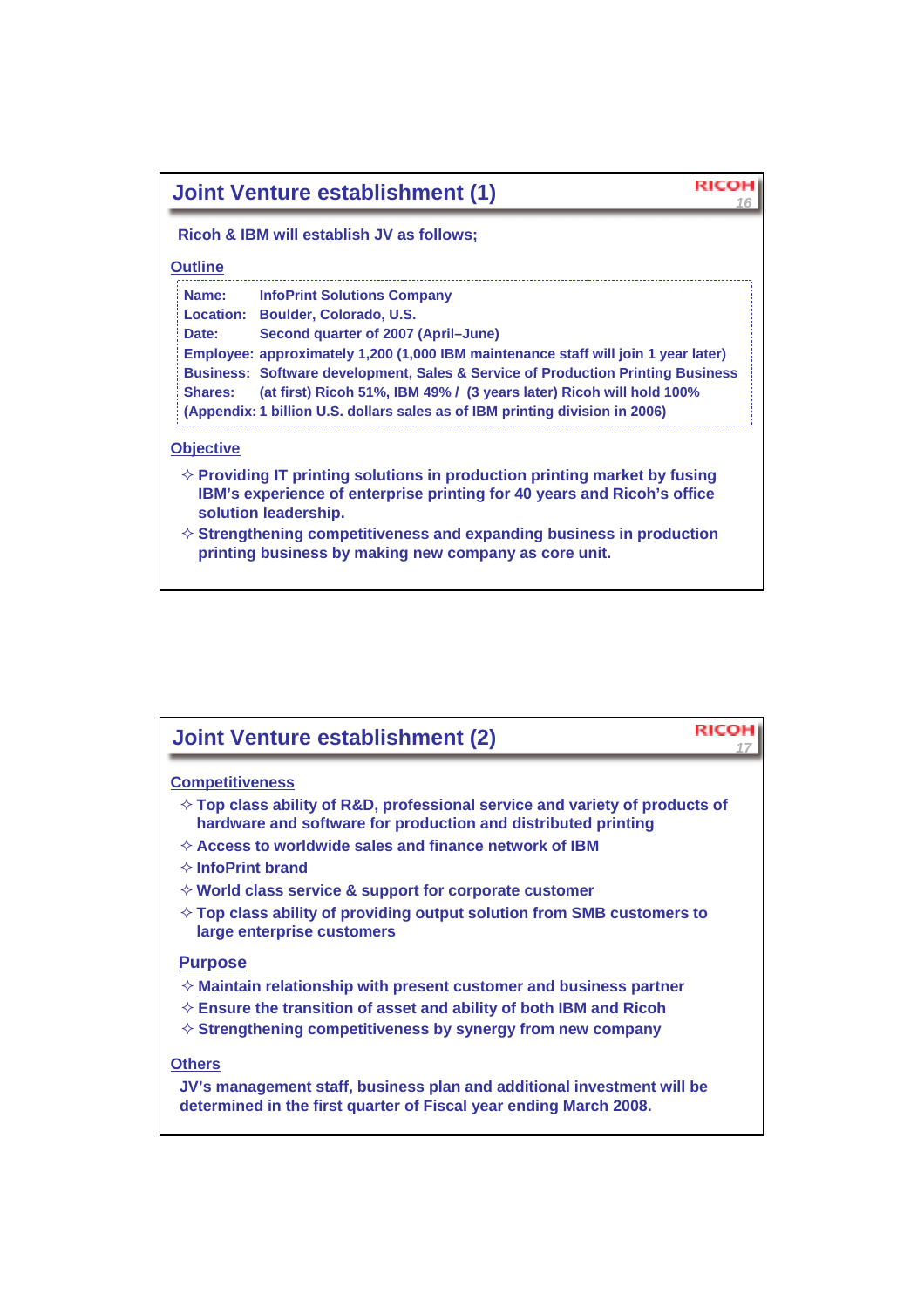| <b>Joint Venture establishment (1)</b>                                                                                                                                                                                                                                                                                                                                                                                                                                              |  |  |  |  |  |  |
|-------------------------------------------------------------------------------------------------------------------------------------------------------------------------------------------------------------------------------------------------------------------------------------------------------------------------------------------------------------------------------------------------------------------------------------------------------------------------------------|--|--|--|--|--|--|
| Ricoh & IBM will establish JV as follows;                                                                                                                                                                                                                                                                                                                                                                                                                                           |  |  |  |  |  |  |
| <b>Outline</b>                                                                                                                                                                                                                                                                                                                                                                                                                                                                      |  |  |  |  |  |  |
| Name:<br><b>InfoPrint Solutions Company</b><br>Location: Boulder, Colorado, U.S.<br>Second quarter of 2007 (April–June)<br>Date:<br>Employee: approximately 1,200 (1,000 IBM maintenance staff will join 1 year later)<br>Business: Software development, Sales & Service of Production Printing Business<br>(at first) Ricoh 51%, IBM 49% / (3 years later) Ricoh will hold 100%<br><b>Shares:</b><br>(Appendix: 1 billion U.S. dollars sales as of IBM printing division in 2006) |  |  |  |  |  |  |
| <b>Objective</b><br>$\diamond$ Providing IT printing solutions in production printing market by fusing<br>IBM's experience of enterprise printing for 40 years and Ricoh's office<br>solution leadership.<br>$\diamond$ Strengthening competitiveness and expanding business in production<br>printing business by making new company as core unit.                                                                                                                                 |  |  |  |  |  |  |

## *<sup>17</sup>* **Joint Venture establishment (2)**

### **Competitiveness**

- **Top class ability of R&D, professional service and variety of products of hardware and software for production and distributed printing**
- **Access to worldwide sales and finance network of IBM**
- **InfoPrint brand**
- **World class service & support for corporate customer**
- **Top class ability of providing output solution from SMB customers to large enterprise customers**

### **Purpose**

- **Maintain relationship with present customer and business partner**
- **Ensure the transition of asset and ability of both IBM and Ricoh**
- **Strengthening competitiveness by synergy from new company**

### **Others**

**JV's management staff, business plan and additional investment will be determined in the first quarter of Fiscal year ending March 2008.**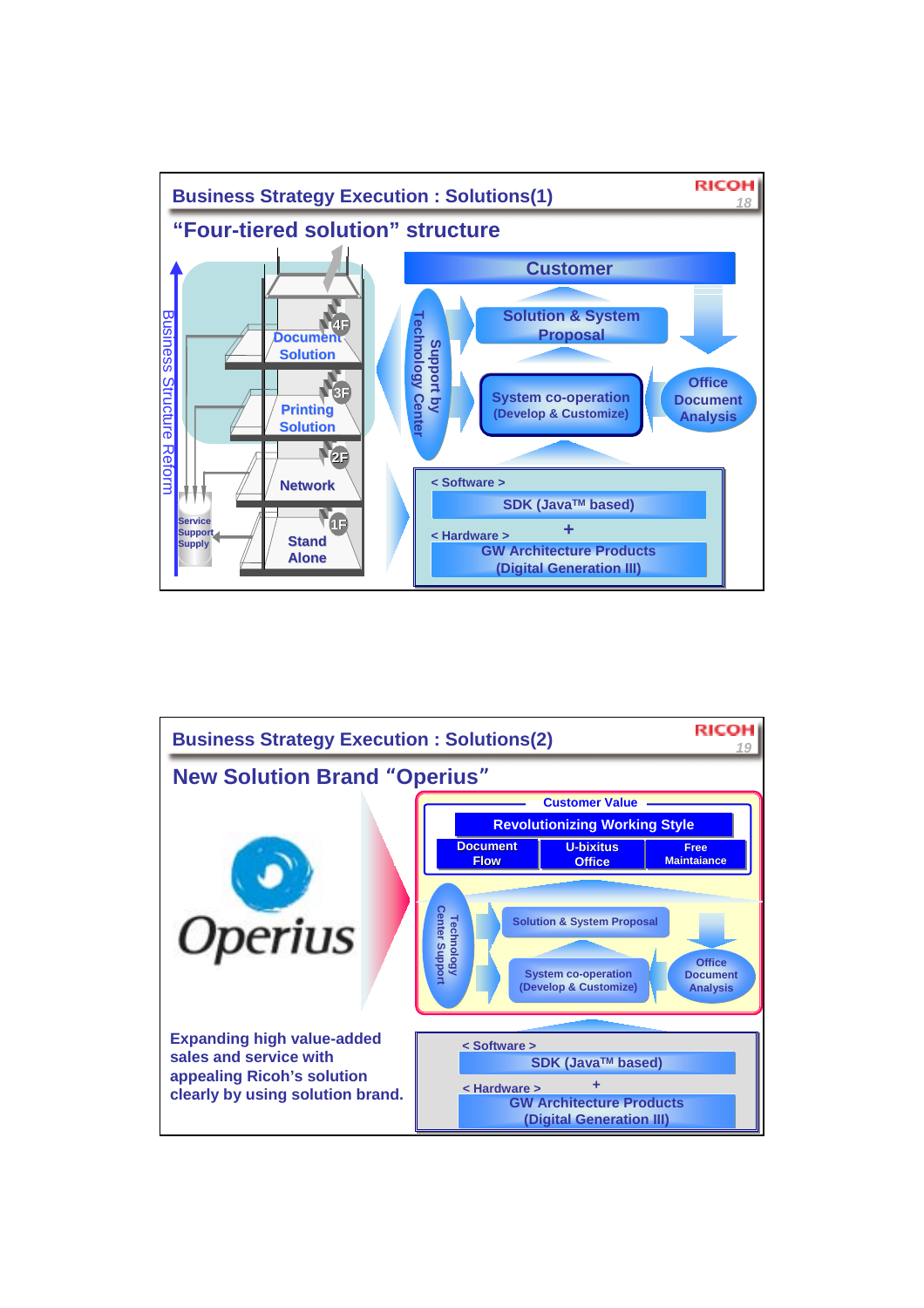

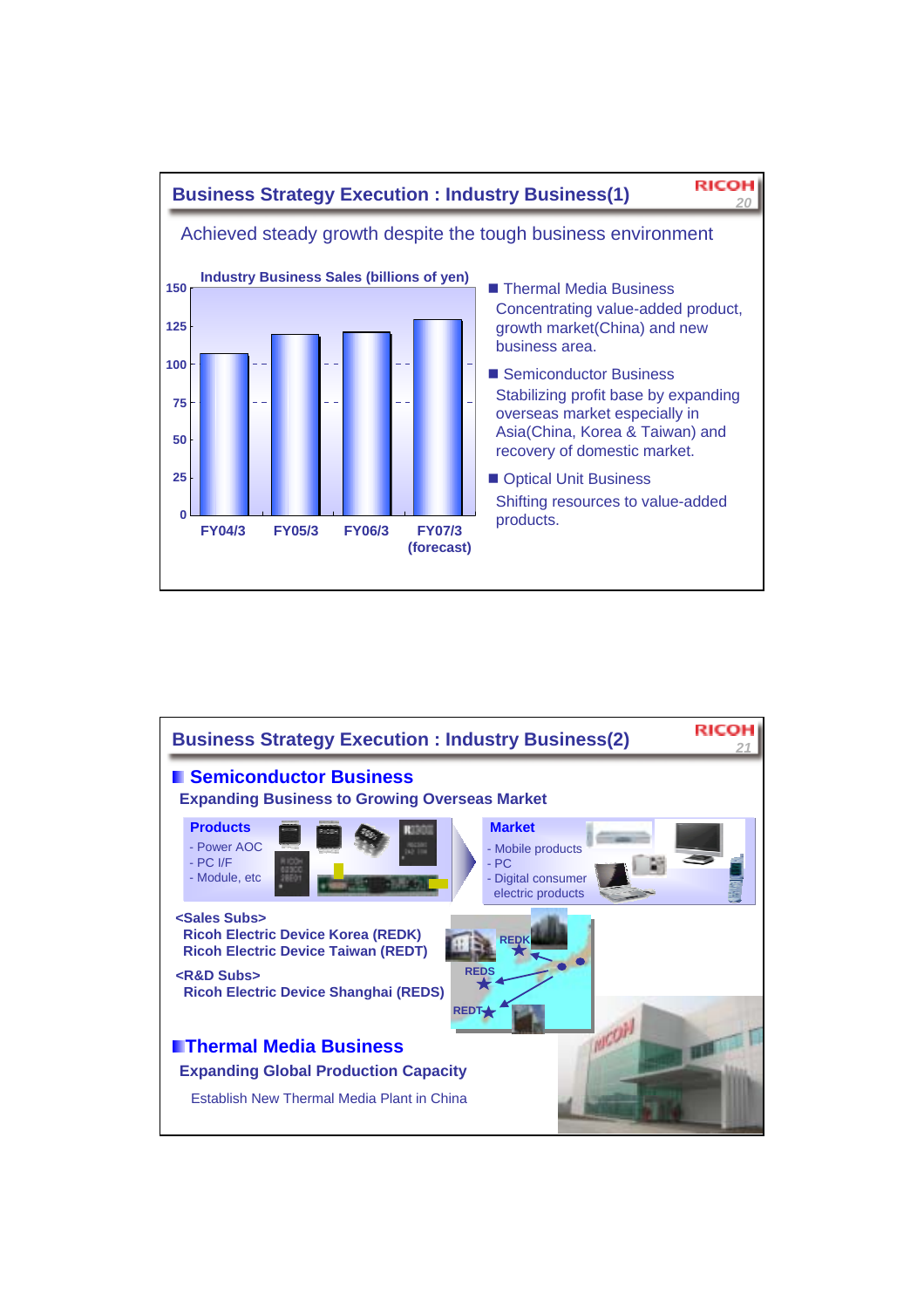

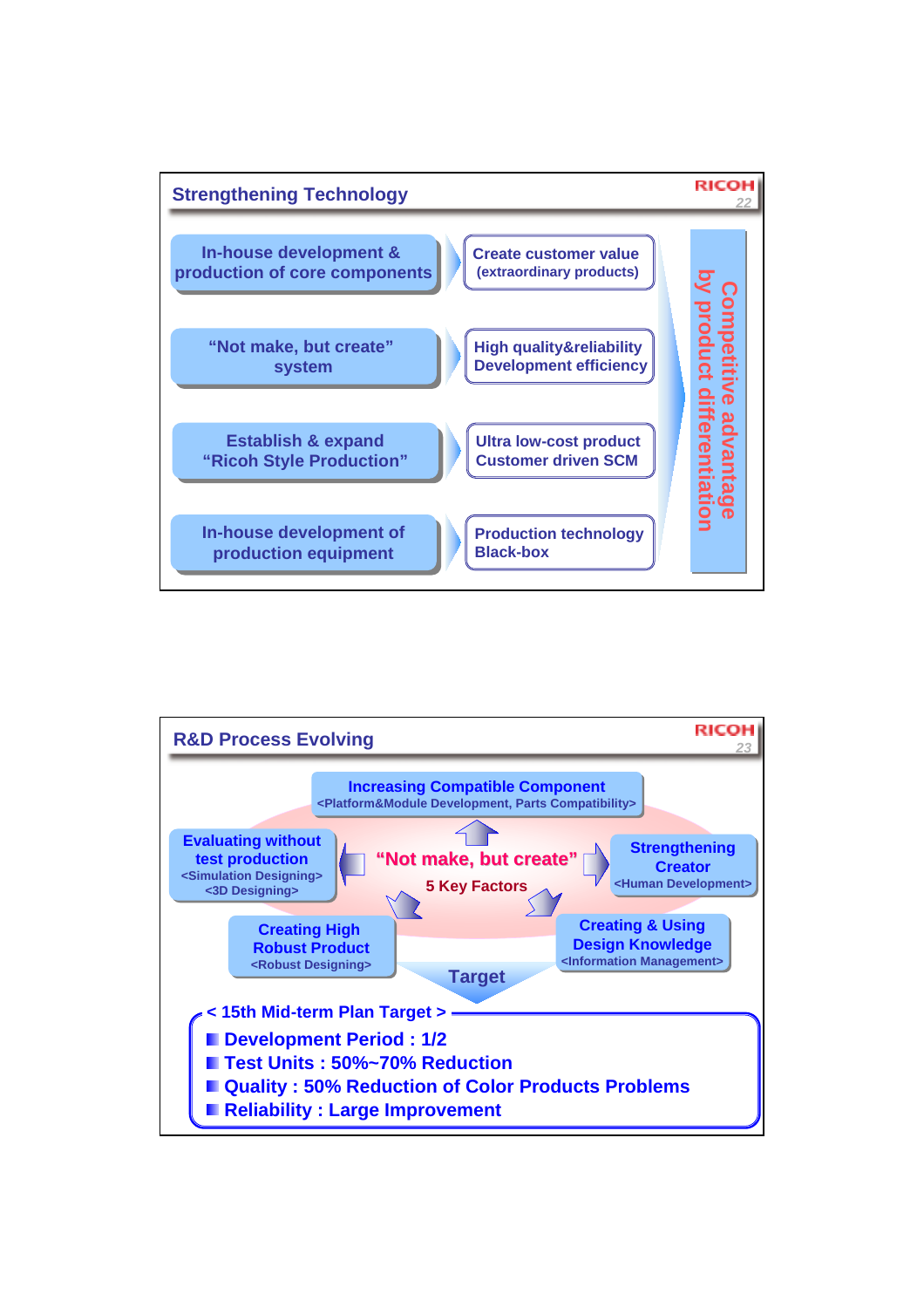